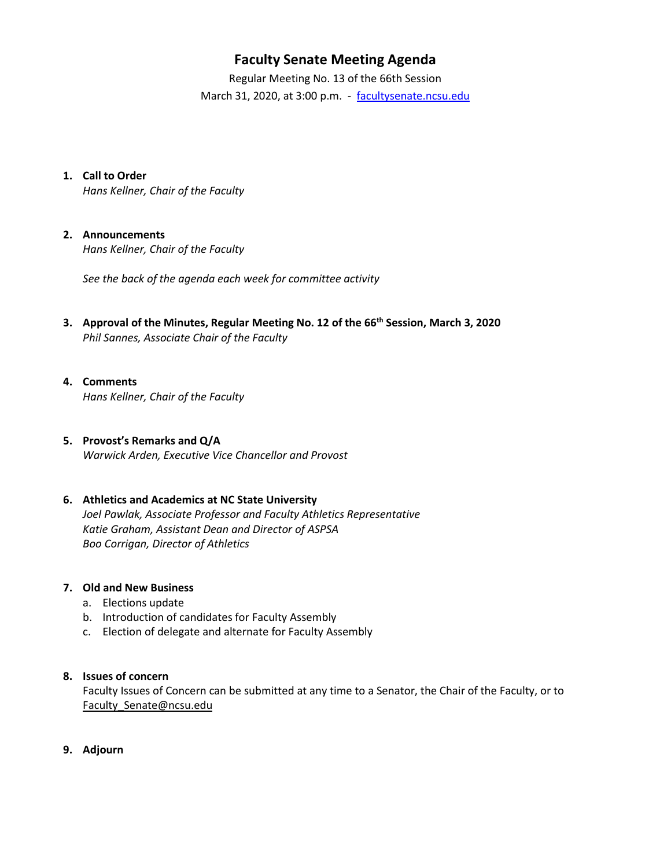# **Faculty Senate Meeting Agenda**

Regular Meeting No. 13 of the 66th Session March 31, 2020, at 3:00 p.m. - [facultysenate.ncsu.edu](https://facultysenate.ncsu.edu/)

**1. Call to Order**

*Hans Kellner, Chair of the Faculty*

#### **2. Announcements**

*Hans Kellner, Chair of the Faculty*

*See the back of the agenda each week for committee activity* 

**3. Approval of the Minutes, Regular Meeting No. 12 of the 66th Session, March 3, 2020** *Phil Sannes, Associate Chair of the Faculty*

#### **4. Comments** *Hans Kellner, Chair of the Faculty*

## **5. Provost's Remarks and Q/A**

*Warwick Arden, Executive Vice Chancellor and Provost*

## **6. Athletics and Academics at NC State University**

*Joel Pawlak, Associate Professor and Faculty Athletics Representative Katie Graham, Assistant Dean and Director of ASPSA Boo Corrigan, Director of Athletics* 

#### **7. Old and New Business**

- a. Elections update
- b. Introduction of candidates for Faculty Assembly
- c. Election of delegate and alternate for Faculty Assembly

#### **8. Issues of concern**

Faculty Issues of Concern can be submitted at any time to a Senator, the Chair of the Faculty, or to [Faculty\\_Senate@ncsu.edu](mailto:Faculty_Senate@ncsu.edu)

**9. Adjourn**